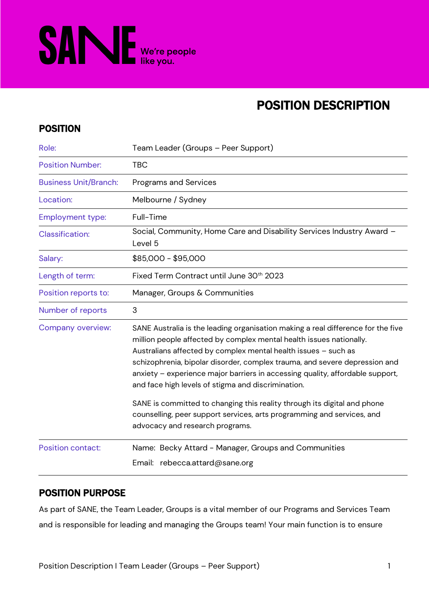

# POSITION DESCRIPTION

### POSITION

| Role:                        | Team Leader (Groups – Peer Support)                                                                                                                                                                                                                                                                                                                                                                                                                                                                                                                                                                  |  |
|------------------------------|------------------------------------------------------------------------------------------------------------------------------------------------------------------------------------------------------------------------------------------------------------------------------------------------------------------------------------------------------------------------------------------------------------------------------------------------------------------------------------------------------------------------------------------------------------------------------------------------------|--|
| <b>Position Number:</b>      | <b>TBC</b>                                                                                                                                                                                                                                                                                                                                                                                                                                                                                                                                                                                           |  |
| <b>Business Unit/Branch:</b> | Programs and Services                                                                                                                                                                                                                                                                                                                                                                                                                                                                                                                                                                                |  |
| Location:                    | Melbourne / Sydney                                                                                                                                                                                                                                                                                                                                                                                                                                                                                                                                                                                   |  |
| <b>Employment type:</b>      | Full-Time                                                                                                                                                                                                                                                                                                                                                                                                                                                                                                                                                                                            |  |
| <b>Classification:</b>       | Social, Community, Home Care and Disability Services Industry Award -<br>Level 5                                                                                                                                                                                                                                                                                                                                                                                                                                                                                                                     |  |
| Salary:                      | \$85,000 - \$95,000                                                                                                                                                                                                                                                                                                                                                                                                                                                                                                                                                                                  |  |
| Length of term:              | Fixed Term Contract until June 30 <sup>th</sup> 2023                                                                                                                                                                                                                                                                                                                                                                                                                                                                                                                                                 |  |
| Position reports to:         | Manager, Groups & Communities                                                                                                                                                                                                                                                                                                                                                                                                                                                                                                                                                                        |  |
| Number of reports            | 3                                                                                                                                                                                                                                                                                                                                                                                                                                                                                                                                                                                                    |  |
| Company overview:            | SANE Australia is the leading organisation making a real difference for the five<br>million people affected by complex mental health issues nationally.<br>Australians affected by complex mental health issues - such as<br>schizophrenia, bipolar disorder, complex trauma, and severe depression and<br>anxiety - experience major barriers in accessing quality, affordable support,<br>and face high levels of stigma and discrimination.<br>SANE is committed to changing this reality through its digital and phone<br>counselling, peer support services, arts programming and services, and |  |
| <b>Position contact:</b>     | advocacy and research programs.<br>Name: Becky Attard - Manager, Groups and Communities                                                                                                                                                                                                                                                                                                                                                                                                                                                                                                              |  |
|                              | Email: rebecca.attard@sane.org                                                                                                                                                                                                                                                                                                                                                                                                                                                                                                                                                                       |  |

### POSITION PURPOSE

As part of SANE, the Team Leader, Groups is a vital member of our Programs and Services Team and is responsible for leading and managing the Groups team! Your main function is to ensure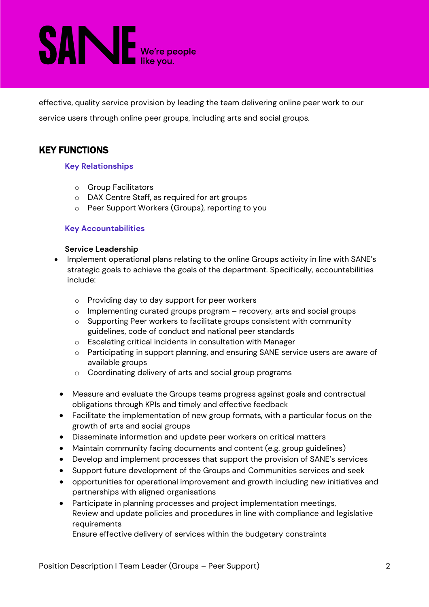# **SANE** We're people

effective, quality service provision by leading the team delivering online peer work to our service users through online peer groups, including arts and social groups.

## KEY FUNCTIONS

### **Key Relationships**

- o Group Facilitators
- o DAX Centre Staff, as required for art groups
- o Peer Support Workers (Groups), reporting to you

### **Key Accountabilities**

#### **Service Leadership**

- Implement operational plans relating to the online Groups activity in line with SANE's strategic goals to achieve the goals of the department. Specifically, accountabilities include:
	- o Providing day to day support for peer workers
	- $\circ$  Implementing curated groups program recovery, arts and social groups
	- o Supporting Peer workers to facilitate groups consistent with community guidelines, code of conduct and national peer standards
	- o Escalating critical incidents in consultation with Manager
	- o Participating in support planning, and ensuring SANE service users are aware of available groups
	- o Coordinating delivery of arts and social group programs
	- Measure and evaluate the Groups teams progress against goals and contractual obligations through KPIs and timely and effective feedback
	- Facilitate the implementation of new group formats, with a particular focus on the growth of arts and social groups
	- Disseminate information and update peer workers on critical matters
	- Maintain community facing documents and content (e.g. group guidelines)
	- Develop and implement processes that support the provision of SANE's services
	- Support future development of the Groups and Communities services and seek
	- opportunities for operational improvement and growth including new initiatives and partnerships with aligned organisations
	- Participate in planning processes and project implementation meetings, Review and update policies and procedures in line with compliance and legislative requirements

Ensure effective delivery of services within the budgetary constraints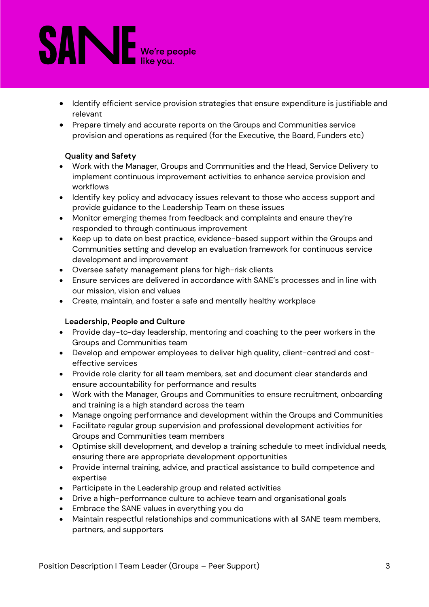# **SANE** We're people

- Identify efficient service provision strategies that ensure expenditure is justifiable and relevant
- Prepare timely and accurate reports on the Groups and Communities service provision and operations as required (for the Executive, the Board, Funders etc)

### **Quality and Safety**

- Work with the Manager, Groups and Communities and the Head, Service Delivery to implement continuous improvement activities to enhance service provision and workflows
- Identify key policy and advocacy issues relevant to those who access support and provide guidance to the Leadership Team on these issues
- Monitor emerging themes from feedback and complaints and ensure they're responded to through continuous improvement
- Keep up to date on best practice, evidence-based support within the Groups and Communities setting and develop an evaluation framework for continuous service development and improvement
- Oversee safety management plans for high-risk clients
- Ensure services are delivered in accordance with SANE's processes and in line with our mission, vision and values
- Create, maintain, and foster a safe and mentally healthy workplace

### **Leadership, People and Culture**

- Provide day-to-day leadership, mentoring and coaching to the peer workers in the Groups and Communities team
- Develop and empower employees to deliver high quality, client-centred and costeffective services
- Provide role clarity for all team members, set and document clear standards and ensure accountability for performance and results
- Work with the Manager, Groups and Communities to ensure recruitment, onboarding and training is a high standard across the team
- Manage ongoing performance and development within the Groups and Communities
- Facilitate regular group supervision and professional development activities for Groups and Communities team members
- Optimise skill development, and develop a training schedule to meet individual needs, ensuring there are appropriate development opportunities
- Provide internal training, advice, and practical assistance to build competence and expertise
- Participate in the Leadership group and related activities
- Drive a high-performance culture to achieve team and organisational goals
- Embrace the SANE values in everything you do
- Maintain respectful relationships and communications with all SANE team members, partners, and supporters